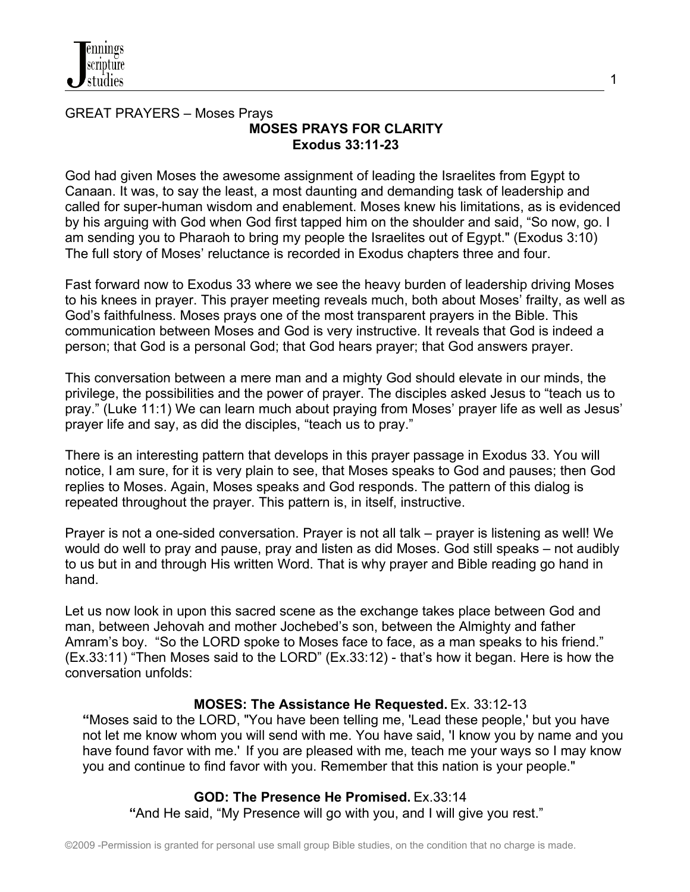# GREAT PRAYERS – Moses Prays **MOSES PRAYS FOR CLARITY Exodus 33:11-23**

God had given Moses the awesome assignment of leading the Israelites from Egypt to Canaan. It was, to say the least, a most daunting and demanding task of leadership and called for super-human wisdom and enablement. Moses knew his limitations, as is evidenced by his arguing with God when God first tapped him on the shoulder and said, "So now, go. I am sending you to Pharaoh to bring my people the Israelites out of Egypt." (Exodus 3:10) The full story of Moses' reluctance is recorded in Exodus chapters three and four.

1

Fast forward now to Exodus 33 where we see the heavy burden of leadership driving Moses to his knees in prayer. This prayer meeting reveals much, both about Moses' frailty, as well as God's faithfulness. Moses prays one of the most transparent prayers in the Bible. This communication between Moses and God is very instructive. It reveals that God is indeed a person; that God is a personal God; that God hears prayer; that God answers prayer.

This conversation between a mere man and a mighty God should elevate in our minds, the privilege, the possibilities and the power of prayer. The disciples asked Jesus to "teach us to pray." (Luke 11:1) We can learn much about praying from Moses' prayer life as well as Jesus' prayer life and say, as did the disciples, "teach us to pray."

There is an interesting pattern that develops in this prayer passage in Exodus 33. You will notice, I am sure, for it is very plain to see, that Moses speaks to God and pauses; then God replies to Moses. Again, Moses speaks and God responds. The pattern of this dialog is repeated throughout the prayer. This pattern is, in itself, instructive.

Prayer is not a one-sided conversation. Prayer is not all talk – prayer is listening as well! We would do well to pray and pause, pray and listen as did Moses. God still speaks – not audibly to us but in and through His written Word. That is why prayer and Bible reading go hand in hand.

Let us now look in upon this sacred scene as the exchange takes place between God and man, between Jehovah and mother Jochebed's son, between the Almighty and father Amram's boy. "So the LORD spoke to Moses face to face, as a man speaks to his friend." (Ex.33:11) "Then Moses said to the LORD" (Ex.33:12) - that's how it began. Here is how the conversation unfolds:

#### **MOSES: The Assistance He Requested.** Ex. 33:12-13

**"**Moses said to the LORD, "You have been telling me, 'Lead these people,' but you have not let me know whom you will send with me. You have said, 'I know you by name and you have found favor with me.' If you are pleased with me, teach me your ways so I may know you and continue to find favor with you. Remember that this nation is your people."

#### **GOD: The Presence He Promised.** Ex.33:14

 **"**And He said, "My Presence will go with you, and I will give you rest."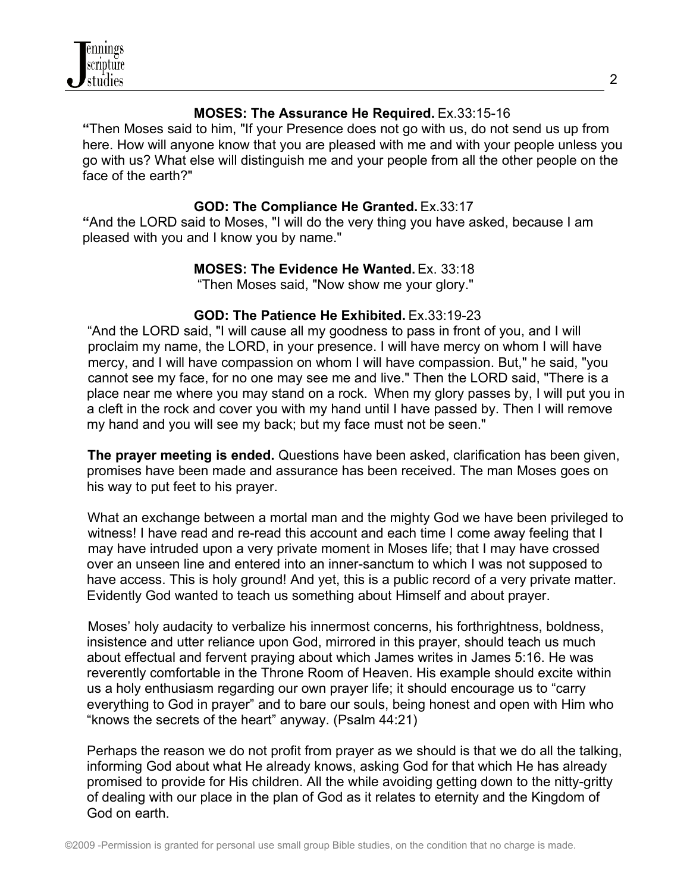

## **MOSES: The Assurance He Required.** Ex.33:15-16

**"**Then Moses said to him, "If your Presence does not go with us, do not send us up from here. How will anyone know that you are pleased with me and with your people unless you go with us? What else will distinguish me and your people from all the other people on the face of the earth?"

## **GOD: The Compliance He Granted.** Ex.33:17

**"**And the LORD said to Moses, "I will do the very thing you have asked, because I am pleased with you and I know you by name."

# **MOSES: The Evidence He Wanted.** Ex. 33:18

"Then Moses said, "Now show me your glory."

# **GOD: The Patience He Exhibited.** Ex.33:19-23

 "And the LORD said, "I will cause all my goodness to pass in front of you, and I will proclaim my name, the LORD, in your presence. I will have mercy on whom I will have mercy, and I will have compassion on whom I will have compassion. But," he said, "you cannot see my face, for no one may see me and live." Then the LORD said, "There is a place near me where you may stand on a rock. When my glory passes by, I will put you in a cleft in the rock and cover you with my hand until I have passed by. Then I will remove my hand and you will see my back; but my face must not be seen."

 **The prayer meeting is ended.** Questions have been asked, clarification has been given, promises have been made and assurance has been received. The man Moses goes on his way to put feet to his prayer.

What an exchange between a mortal man and the mighty God we have been privileged to witness! I have read and re-read this account and each time I come away feeling that I may have intruded upon a very private moment in Moses life; that I may have crossed over an unseen line and entered into an inner-sanctum to which I was not supposed to have access. This is holy ground! And yet, this is a public record of a very private matter. Evidently God wanted to teach us something about Himself and about prayer.

 Moses' holy audacity to verbalize his innermost concerns, his forthrightness, boldness, insistence and utter reliance upon God, mirrored in this prayer, should teach us much about effectual and fervent praying about which James writes in James 5:16. He was reverently comfortable in the Throne Room of Heaven. His example should excite within us a holy enthusiasm regarding our own prayer life; it should encourage us to "carry everything to God in prayer" and to bare our souls, being honest and open with Him who "knows the secrets of the heart" anyway. (Psalm 44:21)

Perhaps the reason we do not profit from prayer as we should is that we do all the talking, informing God about what He already knows, asking God for that which He has already promised to provide for His children. All the while avoiding getting down to the nitty-gritty of dealing with our place in the plan of God as it relates to eternity and the Kingdom of God on earth.